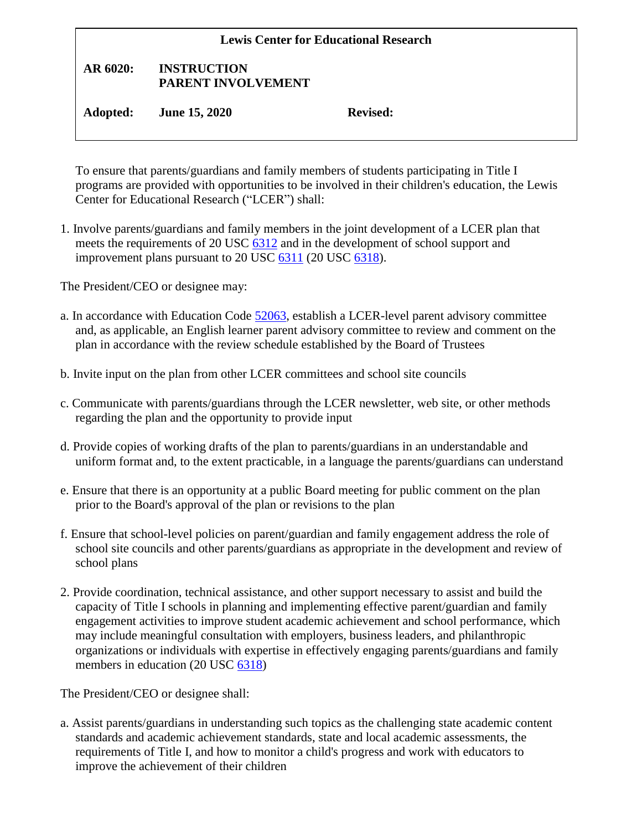| <b>Lewis Center for Educational Research</b> |                                          |                 |
|----------------------------------------------|------------------------------------------|-----------------|
| AR 6020:                                     | <b>INSTRUCTION</b><br>PARENT INVOLVEMENT |                 |
| Adopted:                                     | <b>June 15, 2020</b>                     | <b>Revised:</b> |

To ensure that parents/guardians and family members of students participating in Title I programs are provided with opportunities to be involved in their children's education, the Lewis Center for Educational Research ("LCER") shall:

1. Involve parents/guardians and family members in the joint development of a LCER plan that meets the requirements of 20 USC [6312](http://gamutonline.net/displayPolicy/190143/6) and in the development of school support and improvement plans pursuant to 20 USC [6311](http://gamutonline.net/displayPolicy/303162/6) (20 USC [6318\)](http://gamutonline.net/displayPolicy/302984/6).

The President/CEO or designee may:

- a. In accordance with Education Code [52063,](http://gamutonline.net/displayPolicy/899526/6) establish a LCER-level parent advisory committee and, as applicable, an English learner parent advisory committee to review and comment on the plan in accordance with the review schedule established by the Board of Trustees
- b. Invite input on the plan from other LCER committees and school site councils
- c. Communicate with parents/guardians through the LCER newsletter, web site, or other methods regarding the plan and the opportunity to provide input
- d. Provide copies of working drafts of the plan to parents/guardians in an understandable and uniform format and, to the extent practicable, in a language the parents/guardians can understand
- e. Ensure that there is an opportunity at a public Board meeting for public comment on the plan prior to the Board's approval of the plan or revisions to the plan
- f. Ensure that school-level policies on parent/guardian and family engagement address the role of school site councils and other parents/guardians as appropriate in the development and review of school plans
- 2. Provide coordination, technical assistance, and other support necessary to assist and build the capacity of Title I schools in planning and implementing effective parent/guardian and family engagement activities to improve student academic achievement and school performance, which may include meaningful consultation with employers, business leaders, and philanthropic organizations or individuals with expertise in effectively engaging parents/guardians and family members in education (20 USC [6318\)](http://gamutonline.net/displayPolicy/302984/6)

The President/CEO or designee shall:

a. Assist parents/guardians in understanding such topics as the challenging state academic content standards and academic achievement standards, state and local academic assessments, the requirements of Title I, and how to monitor a child's progress and work with educators to improve the achievement of their children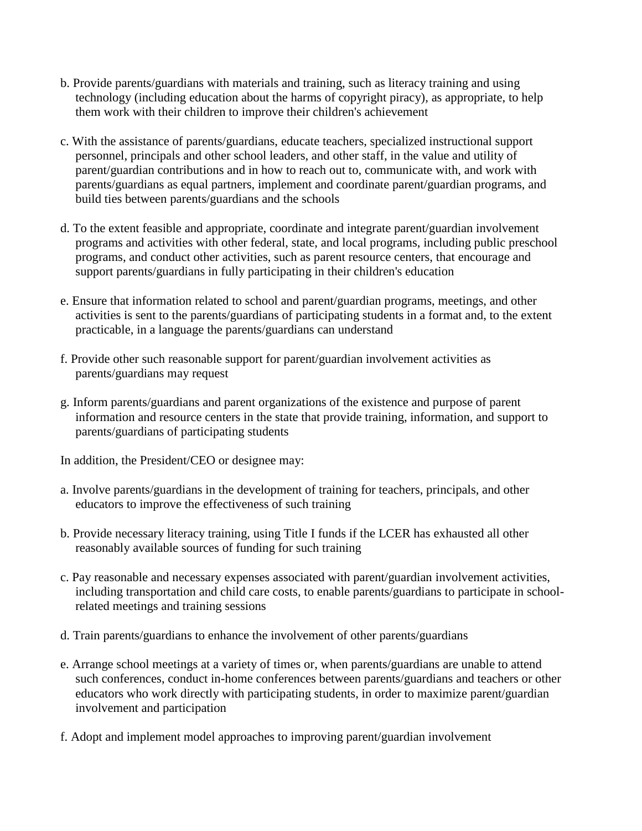- b. Provide parents/guardians with materials and training, such as literacy training and using technology (including education about the harms of copyright piracy), as appropriate, to help them work with their children to improve their children's achievement
- c. With the assistance of parents/guardians, educate teachers, specialized instructional support personnel, principals and other school leaders, and other staff, in the value and utility of parent/guardian contributions and in how to reach out to, communicate with, and work with parents/guardians as equal partners, implement and coordinate parent/guardian programs, and build ties between parents/guardians and the schools
- d. To the extent feasible and appropriate, coordinate and integrate parent/guardian involvement programs and activities with other federal, state, and local programs, including public preschool programs, and conduct other activities, such as parent resource centers, that encourage and support parents/guardians in fully participating in their children's education
- e. Ensure that information related to school and parent/guardian programs, meetings, and other activities is sent to the parents/guardians of participating students in a format and, to the extent practicable, in a language the parents/guardians can understand
- f. Provide other such reasonable support for parent/guardian involvement activities as parents/guardians may request
- g. Inform parents/guardians and parent organizations of the existence and purpose of parent information and resource centers in the state that provide training, information, and support to parents/guardians of participating students

In addition, the President/CEO or designee may:

- a. Involve parents/guardians in the development of training for teachers, principals, and other educators to improve the effectiveness of such training
- b. Provide necessary literacy training, using Title I funds if the LCER has exhausted all other reasonably available sources of funding for such training
- c. Pay reasonable and necessary expenses associated with parent/guardian involvement activities, including transportation and child care costs, to enable parents/guardians to participate in schoolrelated meetings and training sessions
- d. Train parents/guardians to enhance the involvement of other parents/guardians
- e. Arrange school meetings at a variety of times or, when parents/guardians are unable to attend such conferences, conduct in-home conferences between parents/guardians and teachers or other educators who work directly with participating students, in order to maximize parent/guardian involvement and participation
- f. Adopt and implement model approaches to improving parent/guardian involvement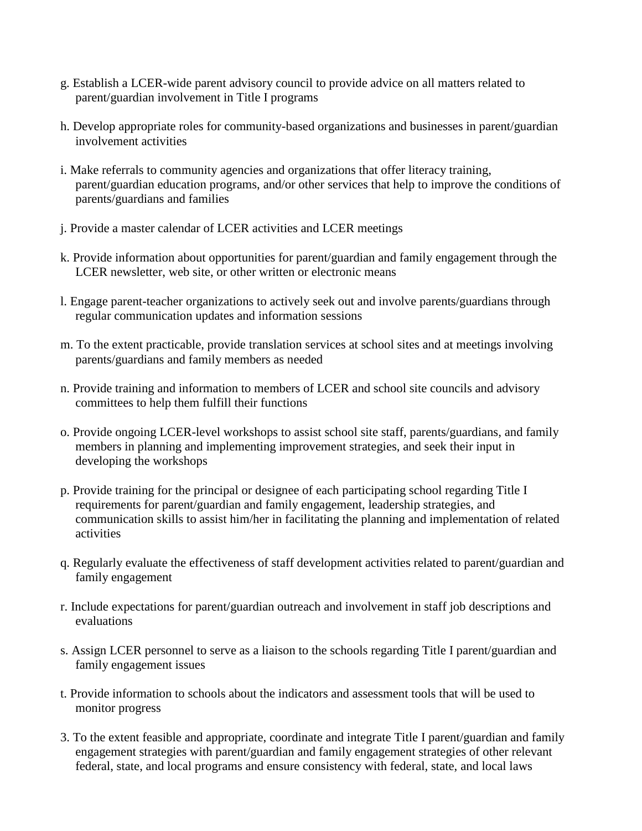- g. Establish a LCER-wide parent advisory council to provide advice on all matters related to parent/guardian involvement in Title I programs
- h. Develop appropriate roles for community-based organizations and businesses in parent/guardian involvement activities
- i. Make referrals to community agencies and organizations that offer literacy training, parent/guardian education programs, and/or other services that help to improve the conditions of parents/guardians and families
- j. Provide a master calendar of LCER activities and LCER meetings
- k. Provide information about opportunities for parent/guardian and family engagement through the LCER newsletter, web site, or other written or electronic means
- l. Engage parent-teacher organizations to actively seek out and involve parents/guardians through regular communication updates and information sessions
- m. To the extent practicable, provide translation services at school sites and at meetings involving parents/guardians and family members as needed
- n. Provide training and information to members of LCER and school site councils and advisory committees to help them fulfill their functions
- o. Provide ongoing LCER-level workshops to assist school site staff, parents/guardians, and family members in planning and implementing improvement strategies, and seek their input in developing the workshops
- p. Provide training for the principal or designee of each participating school regarding Title I requirements for parent/guardian and family engagement, leadership strategies, and communication skills to assist him/her in facilitating the planning and implementation of related activities
- q. Regularly evaluate the effectiveness of staff development activities related to parent/guardian and family engagement
- r. Include expectations for parent/guardian outreach and involvement in staff job descriptions and evaluations
- s. Assign LCER personnel to serve as a liaison to the schools regarding Title I parent/guardian and family engagement issues
- t. Provide information to schools about the indicators and assessment tools that will be used to monitor progress
- 3. To the extent feasible and appropriate, coordinate and integrate Title I parent/guardian and family engagement strategies with parent/guardian and family engagement strategies of other relevant federal, state, and local programs and ensure consistency with federal, state, and local laws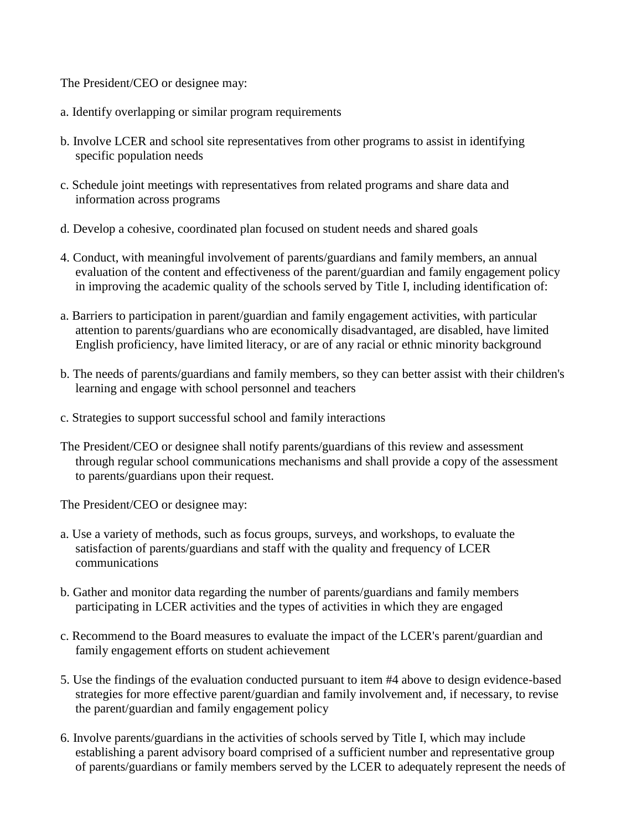The President/CEO or designee may:

- a. Identify overlapping or similar program requirements
- b. Involve LCER and school site representatives from other programs to assist in identifying specific population needs
- c. Schedule joint meetings with representatives from related programs and share data and information across programs
- d. Develop a cohesive, coordinated plan focused on student needs and shared goals
- 4. Conduct, with meaningful involvement of parents/guardians and family members, an annual evaluation of the content and effectiveness of the parent/guardian and family engagement policy in improving the academic quality of the schools served by Title I, including identification of:
- a. Barriers to participation in parent/guardian and family engagement activities, with particular attention to parents/guardians who are economically disadvantaged, are disabled, have limited English proficiency, have limited literacy, or are of any racial or ethnic minority background
- b. The needs of parents/guardians and family members, so they can better assist with their children's learning and engage with school personnel and teachers
- c. Strategies to support successful school and family interactions
- The President/CEO or designee shall notify parents/guardians of this review and assessment through regular school communications mechanisms and shall provide a copy of the assessment to parents/guardians upon their request.

The President/CEO or designee may:

- a. Use a variety of methods, such as focus groups, surveys, and workshops, to evaluate the satisfaction of parents/guardians and staff with the quality and frequency of LCER communications
- b. Gather and monitor data regarding the number of parents/guardians and family members participating in LCER activities and the types of activities in which they are engaged
- c. Recommend to the Board measures to evaluate the impact of the LCER's parent/guardian and family engagement efforts on student achievement
- 5. Use the findings of the evaluation conducted pursuant to item #4 above to design evidence-based strategies for more effective parent/guardian and family involvement and, if necessary, to revise the parent/guardian and family engagement policy
- 6. Involve parents/guardians in the activities of schools served by Title I, which may include establishing a parent advisory board comprised of a sufficient number and representative group of parents/guardians or family members served by the LCER to adequately represent the needs of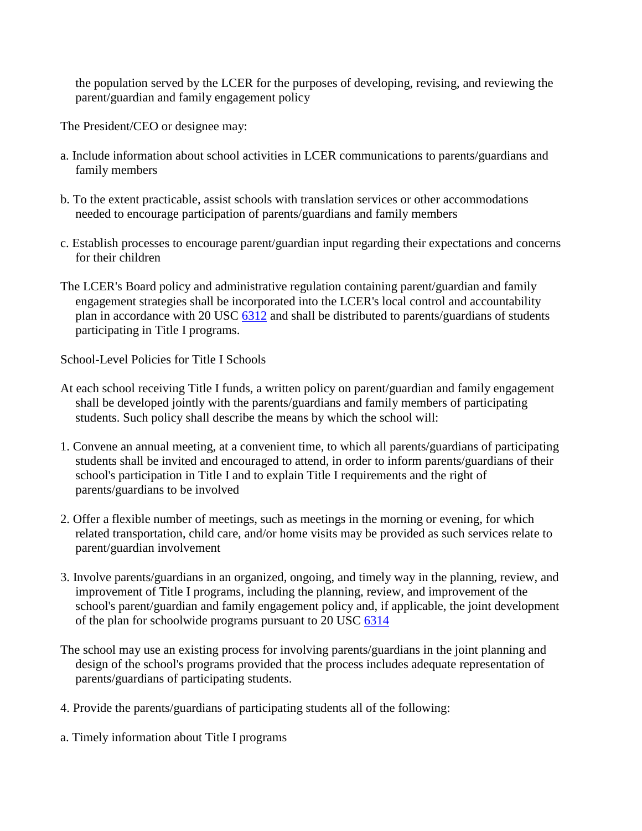the population served by the LCER for the purposes of developing, revising, and reviewing the parent/guardian and family engagement policy

The President/CEO or designee may:

- a. Include information about school activities in LCER communications to parents/guardians and family members
- b. To the extent practicable, assist schools with translation services or other accommodations needed to encourage participation of parents/guardians and family members
- c. Establish processes to encourage parent/guardian input regarding their expectations and concerns for their children
- The LCER's Board policy and administrative regulation containing parent/guardian and family engagement strategies shall be incorporated into the LCER's local control and accountability plan in accordance with 20 USC [6312](http://gamutonline.net/displayPolicy/190143/6) and shall be distributed to parents/guardians of students participating in Title I programs.

School-Level Policies for Title I Schools

- At each school receiving Title I funds, a written policy on parent/guardian and family engagement shall be developed jointly with the parents/guardians and family members of participating students. Such policy shall describe the means by which the school will:
- 1. Convene an annual meeting, at a convenient time, to which all parents/guardians of participating students shall be invited and encouraged to attend, in order to inform parents/guardians of their school's participation in Title I and to explain Title I requirements and the right of parents/guardians to be involved
- 2. Offer a flexible number of meetings, such as meetings in the morning or evening, for which related transportation, child care, and/or home visits may be provided as such services relate to parent/guardian involvement
- 3. Involve parents/guardians in an organized, ongoing, and timely way in the planning, review, and improvement of Title I programs, including the planning, review, and improvement of the school's parent/guardian and family engagement policy and, if applicable, the joint development of the plan for schoolwide programs pursuant to 20 USC [6314](http://gamutonline.net/displayPolicy/302980/6)
- The school may use an existing process for involving parents/guardians in the joint planning and design of the school's programs provided that the process includes adequate representation of parents/guardians of participating students.
- 4. Provide the parents/guardians of participating students all of the following:
- a. Timely information about Title I programs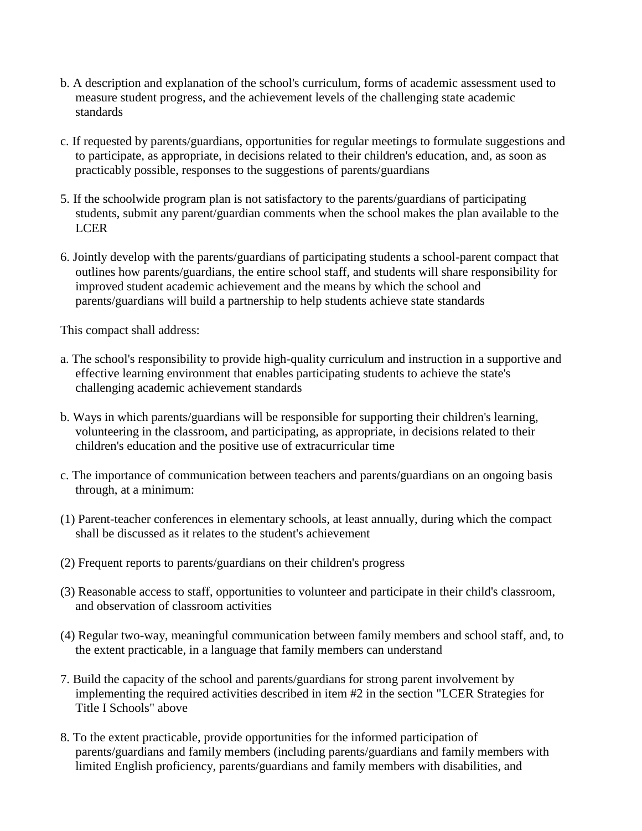- b. A description and explanation of the school's curriculum, forms of academic assessment used to measure student progress, and the achievement levels of the challenging state academic standards
- c. If requested by parents/guardians, opportunities for regular meetings to formulate suggestions and to participate, as appropriate, in decisions related to their children's education, and, as soon as practicably possible, responses to the suggestions of parents/guardians
- 5. If the schoolwide program plan is not satisfactory to the parents/guardians of participating students, submit any parent/guardian comments when the school makes the plan available to the LCER
- 6. Jointly develop with the parents/guardians of participating students a school-parent compact that outlines how parents/guardians, the entire school staff, and students will share responsibility for improved student academic achievement and the means by which the school and parents/guardians will build a partnership to help students achieve state standards

This compact shall address:

- a. The school's responsibility to provide high-quality curriculum and instruction in a supportive and effective learning environment that enables participating students to achieve the state's challenging academic achievement standards
- b. Ways in which parents/guardians will be responsible for supporting their children's learning, volunteering in the classroom, and participating, as appropriate, in decisions related to their children's education and the positive use of extracurricular time
- c. The importance of communication between teachers and parents/guardians on an ongoing basis through, at a minimum:
- (1) Parent-teacher conferences in elementary schools, at least annually, during which the compact shall be discussed as it relates to the student's achievement
- (2) Frequent reports to parents/guardians on their children's progress
- (3) Reasonable access to staff, opportunities to volunteer and participate in their child's classroom, and observation of classroom activities
- (4) Regular two-way, meaningful communication between family members and school staff, and, to the extent practicable, in a language that family members can understand
- 7. Build the capacity of the school and parents/guardians for strong parent involvement by implementing the required activities described in item #2 in the section "LCER Strategies for Title I Schools" above
- 8. To the extent practicable, provide opportunities for the informed participation of parents/guardians and family members (including parents/guardians and family members with limited English proficiency, parents/guardians and family members with disabilities, and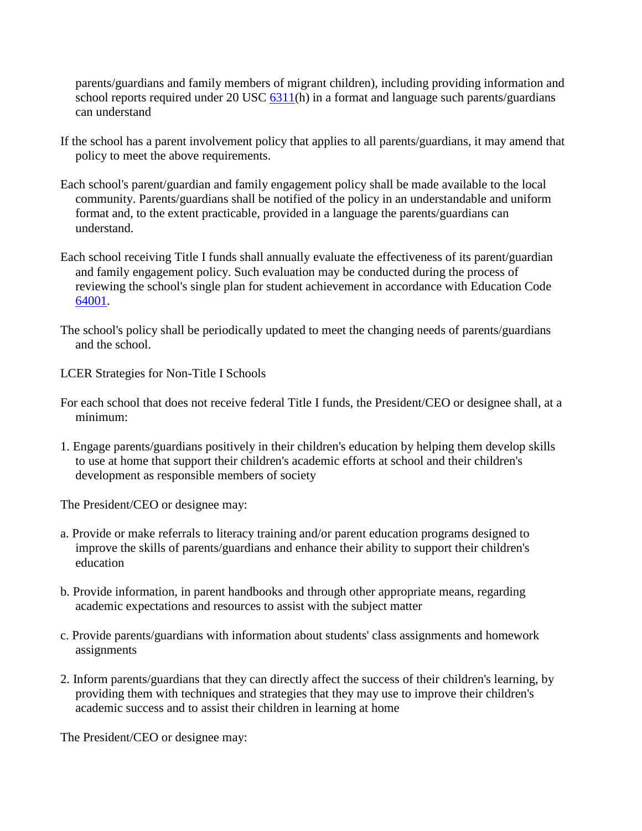parents/guardians and family members of migrant children), including providing information and school reports required under 20 USC  $\frac{6311}{h}$  in a format and language such parents/guardians can understand

- If the school has a parent involvement policy that applies to all parents/guardians, it may amend that policy to meet the above requirements.
- Each school's parent/guardian and family engagement policy shall be made available to the local community. Parents/guardians shall be notified of the policy in an understandable and uniform format and, to the extent practicable, provided in a language the parents/guardians can understand.
- Each school receiving Title I funds shall annually evaluate the effectiveness of its parent/guardian and family engagement policy. Such evaluation may be conducted during the process of reviewing the school's single plan for student achievement in accordance with Education Code [64001.](http://gamutonline.net/displayPolicy/133933/6)
- The school's policy shall be periodically updated to meet the changing needs of parents/guardians and the school.
- LCER Strategies for Non-Title I Schools
- For each school that does not receive federal Title I funds, the President/CEO or designee shall, at a minimum:
- 1. Engage parents/guardians positively in their children's education by helping them develop skills to use at home that support their children's academic efforts at school and their children's development as responsible members of society

The President/CEO or designee may:

- a. Provide or make referrals to literacy training and/or parent education programs designed to improve the skills of parents/guardians and enhance their ability to support their children's education
- b. Provide information, in parent handbooks and through other appropriate means, regarding academic expectations and resources to assist with the subject matter
- c. Provide parents/guardians with information about students' class assignments and homework assignments
- 2. Inform parents/guardians that they can directly affect the success of their children's learning, by providing them with techniques and strategies that they may use to improve their children's academic success and to assist their children in learning at home

The President/CEO or designee may: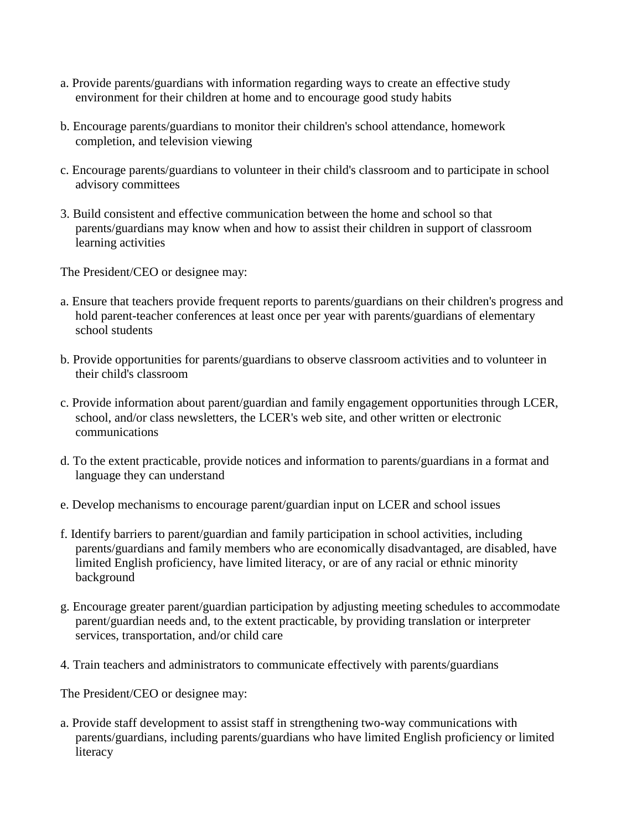- a. Provide parents/guardians with information regarding ways to create an effective study environment for their children at home and to encourage good study habits
- b. Encourage parents/guardians to monitor their children's school attendance, homework completion, and television viewing
- c. Encourage parents/guardians to volunteer in their child's classroom and to participate in school advisory committees
- 3. Build consistent and effective communication between the home and school so that parents/guardians may know when and how to assist their children in support of classroom learning activities

The President/CEO or designee may:

- a. Ensure that teachers provide frequent reports to parents/guardians on their children's progress and hold parent-teacher conferences at least once per year with parents/guardians of elementary school students
- b. Provide opportunities for parents/guardians to observe classroom activities and to volunteer in their child's classroom
- c. Provide information about parent/guardian and family engagement opportunities through LCER, school, and/or class newsletters, the LCER's web site, and other written or electronic communications
- d. To the extent practicable, provide notices and information to parents/guardians in a format and language they can understand
- e. Develop mechanisms to encourage parent/guardian input on LCER and school issues
- f. Identify barriers to parent/guardian and family participation in school activities, including parents/guardians and family members who are economically disadvantaged, are disabled, have limited English proficiency, have limited literacy, or are of any racial or ethnic minority background
- g. Encourage greater parent/guardian participation by adjusting meeting schedules to accommodate parent/guardian needs and, to the extent practicable, by providing translation or interpreter services, transportation, and/or child care
- 4. Train teachers and administrators to communicate effectively with parents/guardians

The President/CEO or designee may:

a. Provide staff development to assist staff in strengthening two-way communications with parents/guardians, including parents/guardians who have limited English proficiency or limited literacy